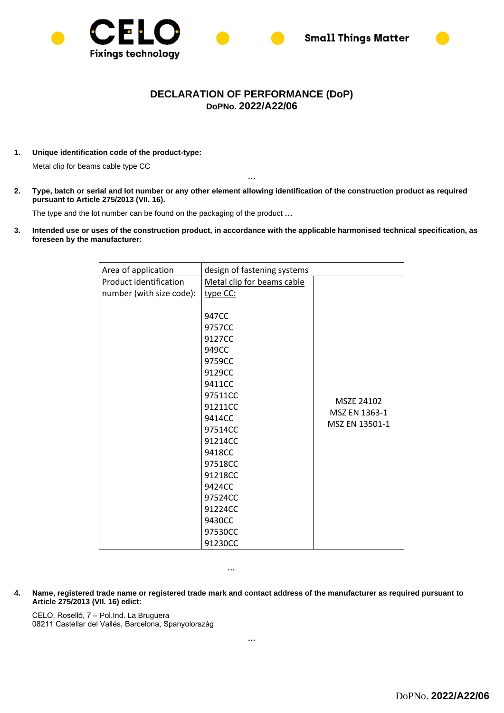



## **DECLARATION OF PERFORMANCE (DoP) DoPNo. 2022/A22/06**

**1. Unique identification code of the product-type:**

Metal clip for beams cable type CC

**2. Type, batch or serial and lot number or any other element allowing identification of the construction product as required pursuant to Article 275/2013 (VII. 16).**

**…**

The type and the lot number can be found on the packaging of the product **…**

**3. Intended use or uses of the construction product, in accordance with the applicable harmonised technical specification, as foreseen by the manufacturer:** 

| Area of application      | design of fastening systems |                |
|--------------------------|-----------------------------|----------------|
| Product identification   | Metal clip for beams cable  |                |
| number (with size code): | type CC:                    |                |
|                          |                             |                |
|                          | 947CC                       |                |
|                          | 9757CC                      |                |
|                          | 9127CC                      |                |
|                          | 949CC                       |                |
|                          | 9759CC                      |                |
|                          | 9129CC                      |                |
|                          | 9411CC                      |                |
|                          | 97511CC                     | MSZE 24102     |
|                          | 91211CC                     | MSZ EN 1363-1  |
|                          | 9414CC                      | MSZ EN 13501-1 |
|                          | 97514CC                     |                |
|                          | 91214CC                     |                |
|                          | 9418CC                      |                |
|                          | 97518CC                     |                |
|                          | 91218CC                     |                |
|                          | 9424CC                      |                |
|                          | 97524CC                     |                |
|                          | 91224CC                     |                |
|                          | 9430CC                      |                |
|                          | 97530CC                     |                |
|                          | 91230CC                     |                |

**…**

**4. Name, registered trade name or registered trade mark and contact address of the manufacturer as required pursuant to Article 275/2013 (VII. 16) edict:**

CELO, Roselló, 7 – Pol.Ind. La Bruguera 08211 Castellar del Vallés, Barcelona, Spanyolország